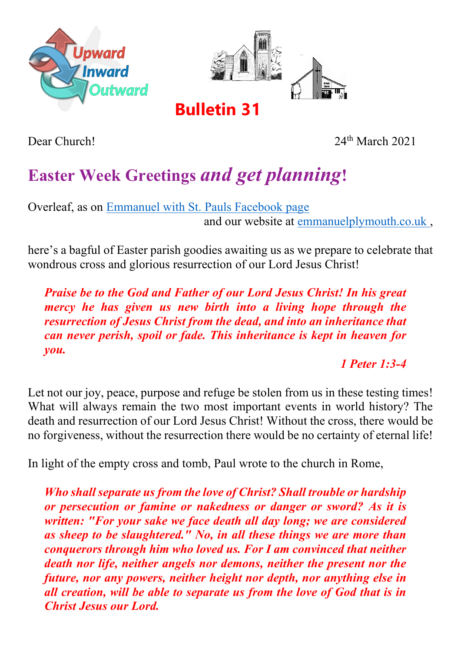



**Bulletin 31**

Dear Church! 24th March 2021

## **Easter Week Greetings** *and get planning***!**

Overleaf, as on [Emmanuel with St. Pauls Facebook page](http://facebook.com/emmanuelwithstpauls) and our website at [emmanuelplymouth.co.uk ,](https://emmanuelplymouth.co.uk/Groups/289377/Emmanuel_Church.aspx)

here's a bagful of Easter parish goodies awaiting us as we prepare to celebrate that wondrous cross and glorious resurrection of our Lord Jesus Christ!

*Praise be to the God and Father of our Lord Jesus Christ! In his great mercy he has given us new birth into a living hope through the resurrection of Jesus Christ from the dead, and into an inheritance that can never perish, spoil or fade. This inheritance is kept in heaven for you.* 

*1 Peter 1:3-4*

Let not our joy, peace, purpose and refuge be stolen from us in these testing times! What will always remain the two most important events in world history? The death and resurrection of our Lord Jesus Christ! Without the cross, there would be no forgiveness, without the resurrection there would be no certainty of eternal life!

In light of the empty cross and tomb, Paul wrote to the church in Rome,

*Who shall separate us from the love of Christ? Shall trouble or hardship or persecution or famine or nakedness or danger or sword? As it is written: "For your sake we face death all day long; we are considered as sheep to be slaughtered." No, in all these things we are more than conquerors through him who loved us. For I am convinced that neither death nor life, neither angels nor demons, neither the present nor the future, nor any powers, neither height nor depth, nor anything else in all creation, will be able to separate us from the love of God that is in Christ Jesus our Lord.*